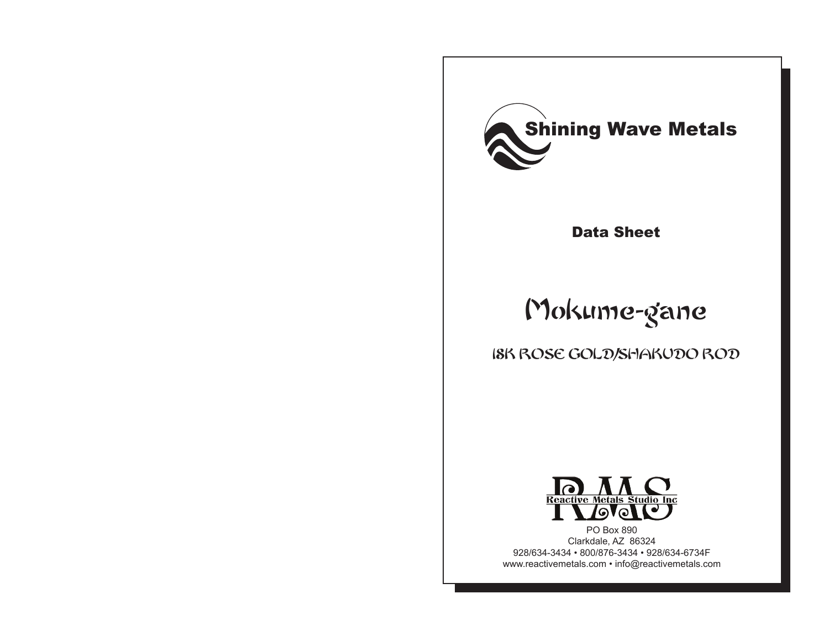

Data Sheet

# Mokume-gane

18K ROSE GOLD/SHAKUDO ROD



PO Box 890 Clarkdale, AZ 86324 928/634-3434 • 800/876-3434 • 928/634-6734F www.reactivemetals.com • info@reactivemetals.com